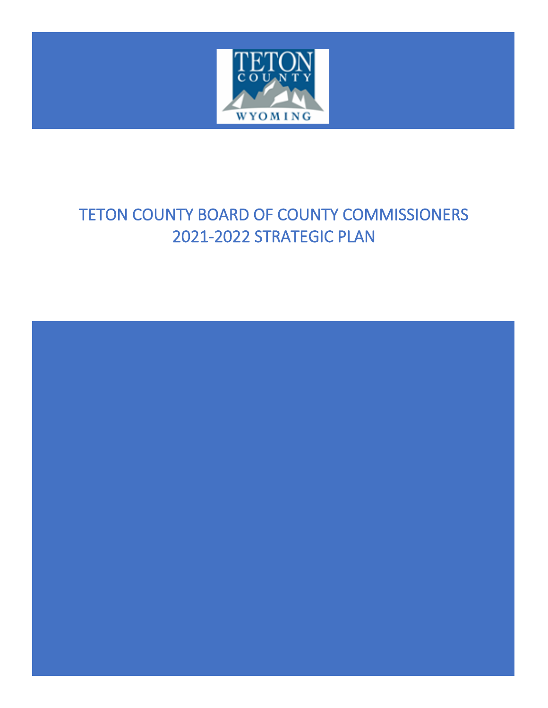

### TETON COUNTY BOARD OF COUNTY COMMISSIONERS 2021-2022 STRATEGIC PLAN

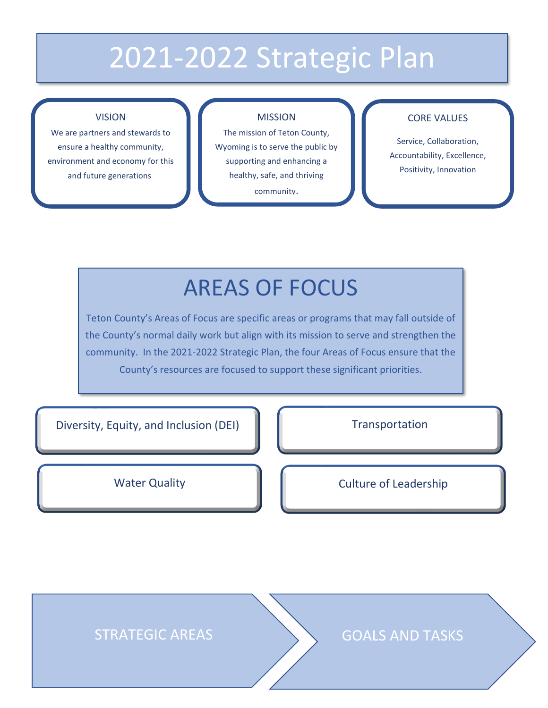# 2021-2022 Strategic Plan

#### VISION

We are partners and stewards to ensure a healthy community, environment and economy for this and future generations.

#### MISSION

The mission of Teton County, Wyoming is to serve the public by supporting and enhancing a healthy, safe, and thriving community.

#### CORE VALUES

Service, Collaboration, Accountability, Excellence, Positivity, Innovation

### AREAS OF FOCUS

Teton County's Areas of Focus are specific areas or programs that may fall outside of the County's normal daily work but align with its mission to serve and strengthen the community. In the 2021-2022 Strategic Plan, the four Areas of Focus ensure that the County's resources are focused to support these significant priorities.

Diversity, Equity, and Inclusion (DEI)

Transportation

Water Quality **Culture of Leadership** 

STRATEGIC AREAS GOALS AND TASKS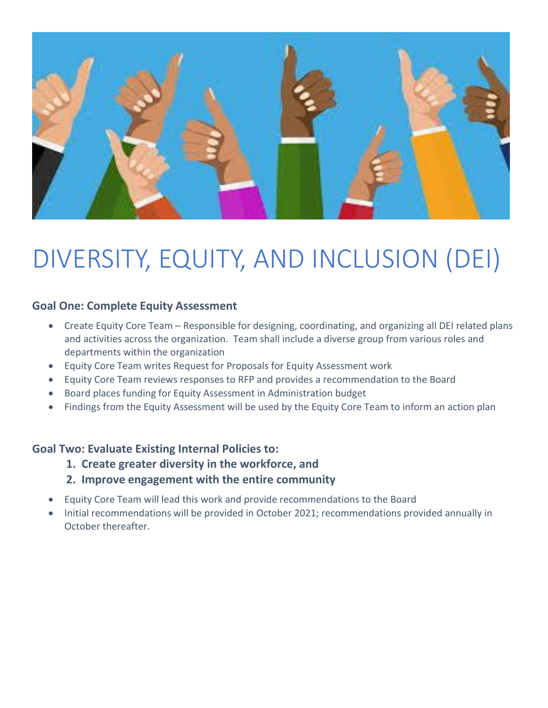

# DIVERSITY, EQUITY, AND INCLUSION (DEI)

#### **Goal One: Complete Equity Assessment**

- Create Equity Core Team Responsible for designing, coordinating, and organizing all DEI related plans and activities across the organization. Team shall include a diverse group from various roles and departments within the organization
- Equity Core Team writes Request for Proposals for Equity Assessment work
- Equity Core Team reviews responses to RFP and provides a recommendation to the Board
- Board places funding for Equity Assessment in Administration budget
- Findings from the Equity Assessment will be used by the Equity Core Team to inform an action plan

#### **Goal Two: Evaluate Existing Internal Policies to:**

- **1. Create greater diversity in the workforce, and**
	- **2. Improve engagement with the entire community**
- Equity Core Team will lead this work and provide recommendations to the Board
- Initial recommendations will be provided in October 2021; recommendations provided annually in October thereafter.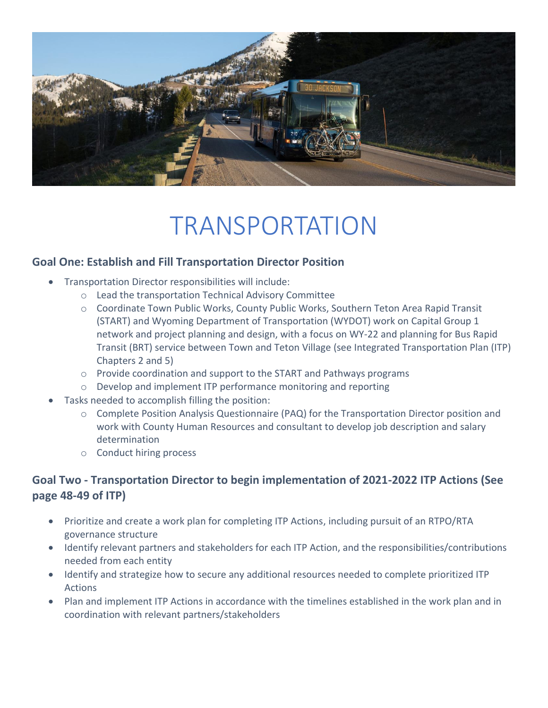

## TRANSPORTATION

#### **Goal One: Establish and Fill Transportation Director Position**

- Transportation Director responsibilities will include:
	- o Lead the transportation Technical Advisory Committee
	- o Coordinate Town Public Works, County Public Works, Southern Teton Area Rapid Transit (START) and Wyoming Department of Transportation (WYDOT) work on Capital Group 1 network and project planning and design, with a focus on WY-22 and planning for Bus Rapid Transit (BRT) service between Town and Teton Village (see Integrated Transportation Plan (ITP) Chapters 2 and 5)
	- o Provide coordination and support to the START and Pathways programs
	- o Develop and implement ITP performance monitoring and reporting
- Tasks needed to accomplish filling the position:
	- $\circ$  Complete Position Analysis Questionnaire (PAQ) for the Transportation Director position and work with County Human Resources and consultant to develop job description and salary determination
	- o Conduct hiring process

#### **Goal Two - Transportation Director to begin implementation of 2021-2022 ITP Actions (See page 48-49 of ITP)**

- Prioritize and create a work plan for completing ITP Actions, including pursuit of an RTPO/RTA governance structure
- Identify relevant partners and stakeholders for each ITP Action, and the responsibilities/contributions needed from each entity
- Identify and strategize how to secure any additional resources needed to complete prioritized ITP Actions
- Plan and implement ITP Actions in accordance with the timelines established in the work plan and in coordination with relevant partners/stakeholders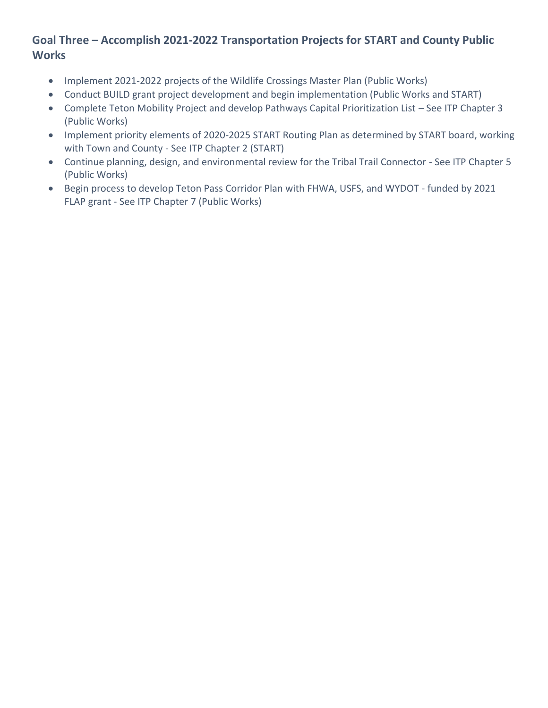#### **Goal Three – Accomplish 2021-2022 Transportation Projects for START and County Public Works**

- Implement 2021-2022 projects of the Wildlife Crossings Master Plan (Public Works)
- Conduct BUILD grant project development and begin implementation (Public Works and START)
- Complete Teton Mobility Project and develop Pathways Capital Prioritization List See ITP Chapter 3 (Public Works)
- Implement priority elements of 2020-2025 START Routing Plan as determined by START board, working with Town and County - See ITP Chapter 2 (START)
- Continue planning, design, and environmental review for the Tribal Trail Connector See ITP Chapter 5 (Public Works)
- Begin process to develop Teton Pass Corridor Plan with FHWA, USFS, and WYDOT funded by 2021 FLAP grant - See ITP Chapter 7 (Public Works)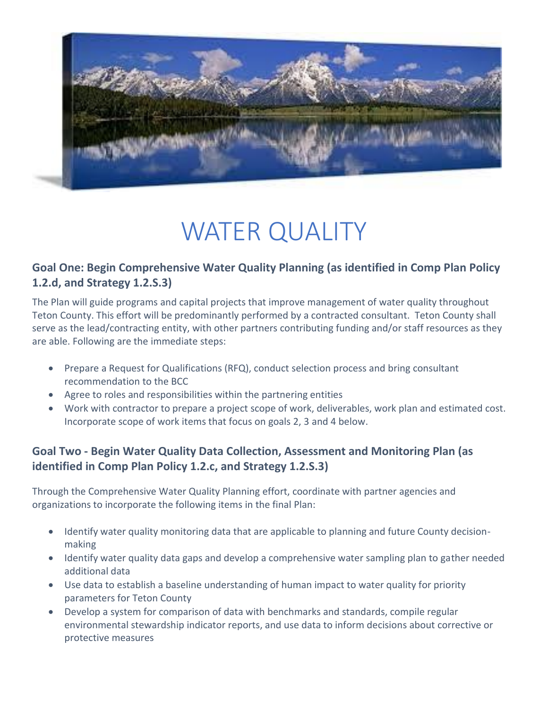

## WATER QUALITY

#### **Goal One: Begin Comprehensive Water Quality Planning (as identified in Comp Plan Policy 1.2.d, and Strategy 1.2.S.3)**

The Plan will guide programs and capital projects that improve management of water quality throughout Teton County. This effort will be predominantly performed by a contracted consultant. Teton County shall serve as the lead/contracting entity, with other partners contributing funding and/or staff resources as they are able. Following are the immediate steps:

- Prepare a Request for Qualifications (RFQ), conduct selection process and bring consultant recommendation to the BCC
- Agree to roles and responsibilities within the partnering entities
- Work with contractor to prepare a project scope of work, deliverables, work plan and estimated cost. Incorporate scope of work items that focus on goals 2, 3 and 4 below.

#### **Goal Two - Begin Water Quality Data Collection, Assessment and Monitoring Plan (as identified in Comp Plan Policy 1.2.c, and Strategy 1.2.S.3)**

Through the Comprehensive Water Quality Planning effort, coordinate with partner agencies and organizations to incorporate the following items in the final Plan:

- Identify water quality monitoring data that are applicable to planning and future County decisionmaking
- Identify water quality data gaps and develop a comprehensive water sampling plan to gather needed additional data
- Use data to establish a baseline understanding of human impact to water quality for priority parameters for Teton County
- Develop a system for comparison of data with benchmarks and standards, compile regular environmental stewardship indicator reports, and use data to inform decisions about corrective or protective measures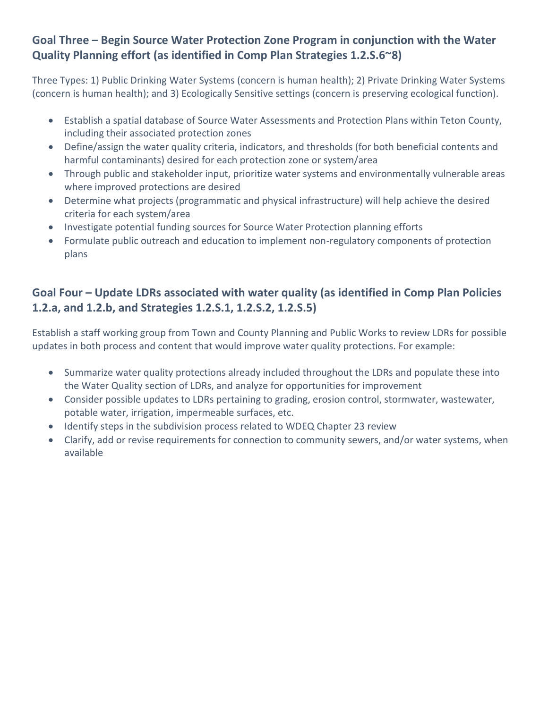#### **Goal Three – Begin Source Water Protection Zone Program in conjunction with the Water Quality Planning effort (as identified in Comp Plan Strategies 1.2.S.6~8)**

Three Types: 1) Public Drinking Water Systems (concern is human health); 2) Private Drinking Water Systems (concern is human health); and 3) Ecologically Sensitive settings (concern is preserving ecological function).

- Establish a spatial database of Source Water Assessments and Protection Plans within Teton County, including their associated protection zones
- Define/assign the water quality criteria, indicators, and thresholds (for both beneficial contents and harmful contaminants) desired for each protection zone or system/area
- Through public and stakeholder input, prioritize water systems and environmentally vulnerable areas where improved protections are desired
- Determine what projects (programmatic and physical infrastructure) will help achieve the desired criteria for each system/area
- Investigate potential funding sources for Source Water Protection planning efforts
- Formulate public outreach and education to implement non-regulatory components of protection plans

#### **Goal Four – Update LDRs associated with water quality (as identified in Comp Plan Policies 1.2.a, and 1.2.b, and Strategies 1.2.S.1, 1.2.S.2, 1.2.S.5)**

Establish a staff working group from Town and County Planning and Public Works to review LDRs for possible updates in both process and content that would improve water quality protections. For example:

- Summarize water quality protections already included throughout the LDRs and populate these into the Water Quality section of LDRs, and analyze for opportunities for improvement
- Consider possible updates to LDRs pertaining to grading, erosion control, stormwater, wastewater, potable water, irrigation, impermeable surfaces, etc.
- Identify steps in the subdivision process related to WDEQ Chapter 23 review
- Clarify, add or revise requirements for connection to community sewers, and/or water systems, when available